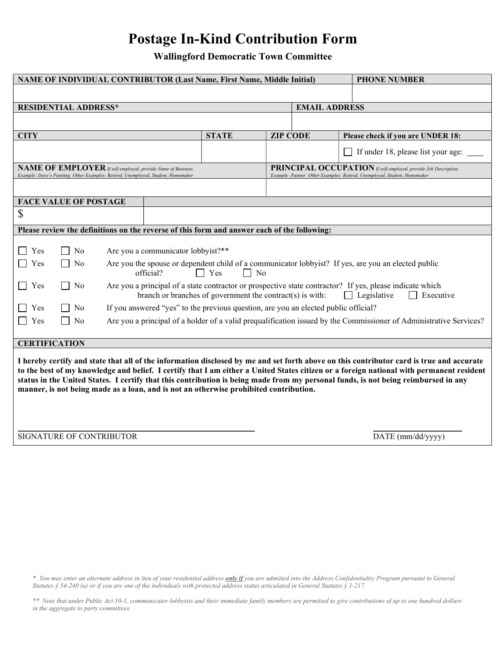# Postage In-Kind Contribution Form

Wallingford Democratic Town Committee

| NAME OF INDIVIDUAL CONTRIBUTOR (Last Name, First Name, Middle Initial)                                                                                                                                                                                                                                                                                                                                                                                                                                              |                |                                                                                                                                                                                                                          |              |                                                                 |                                                                          | <b>PHONE NUMBER</b>                |  |
|---------------------------------------------------------------------------------------------------------------------------------------------------------------------------------------------------------------------------------------------------------------------------------------------------------------------------------------------------------------------------------------------------------------------------------------------------------------------------------------------------------------------|----------------|--------------------------------------------------------------------------------------------------------------------------------------------------------------------------------------------------------------------------|--------------|-----------------------------------------------------------------|--------------------------------------------------------------------------|------------------------------------|--|
|                                                                                                                                                                                                                                                                                                                                                                                                                                                                                                                     |                |                                                                                                                                                                                                                          |              |                                                                 |                                                                          |                                    |  |
| <b>RESIDENTIAL ADDRESS*</b>                                                                                                                                                                                                                                                                                                                                                                                                                                                                                         |                |                                                                                                                                                                                                                          |              |                                                                 | <b>EMAIL ADDRESS</b>                                                     |                                    |  |
|                                                                                                                                                                                                                                                                                                                                                                                                                                                                                                                     |                |                                                                                                                                                                                                                          |              |                                                                 |                                                                          |                                    |  |
| <b>CITY</b>                                                                                                                                                                                                                                                                                                                                                                                                                                                                                                         |                |                                                                                                                                                                                                                          | <b>STATE</b> | <b>ZIP CODE</b>                                                 |                                                                          | Please check if you are UNDER 18:  |  |
|                                                                                                                                                                                                                                                                                                                                                                                                                                                                                                                     |                |                                                                                                                                                                                                                          |              |                                                                 |                                                                          | If under 18, please list your age: |  |
| NAME OF EMPLOYER If self-employed, provide Name of Business.                                                                                                                                                                                                                                                                                                                                                                                                                                                        |                |                                                                                                                                                                                                                          |              | PRINCIPAL OCCUPATION If self-employed, provide Job Description. |                                                                          |                                    |  |
| Example: Dave's Painting Other Examples: Retired, Unemployed, Student, Homemaker                                                                                                                                                                                                                                                                                                                                                                                                                                    |                |                                                                                                                                                                                                                          |              |                                                                 | Example: Painter Other Examples: Retired, Unemployed, Student, Homemaker |                                    |  |
|                                                                                                                                                                                                                                                                                                                                                                                                                                                                                                                     |                |                                                                                                                                                                                                                          |              |                                                                 |                                                                          |                                    |  |
| <b>FACE VALUE OF POSTAGE</b>                                                                                                                                                                                                                                                                                                                                                                                                                                                                                        |                |                                                                                                                                                                                                                          |              |                                                                 |                                                                          |                                    |  |
| \$                                                                                                                                                                                                                                                                                                                                                                                                                                                                                                                  |                |                                                                                                                                                                                                                          |              |                                                                 |                                                                          |                                    |  |
| Please review the definitions on the reverse of this form and answer each of the following:                                                                                                                                                                                                                                                                                                                                                                                                                         |                |                                                                                                                                                                                                                          |              |                                                                 |                                                                          |                                    |  |
|                                                                                                                                                                                                                                                                                                                                                                                                                                                                                                                     |                |                                                                                                                                                                                                                          |              |                                                                 |                                                                          |                                    |  |
| Yes                                                                                                                                                                                                                                                                                                                                                                                                                                                                                                                 | No             | Are you a communicator lobbyist?**                                                                                                                                                                                       |              |                                                                 |                                                                          |                                    |  |
| Yes                                                                                                                                                                                                                                                                                                                                                                                                                                                                                                                 | No             | Are you the spouse or dependent child of a communicator lobbyist? If yes, are you an elected public<br>official?<br>$\Box$ Yes<br>$\Box$ No                                                                              |              |                                                                 |                                                                          |                                    |  |
| $\Box$ Yes                                                                                                                                                                                                                                                                                                                                                                                                                                                                                                          | N <sub>0</sub> | Are you a principal of a state contractor or prospective state contractor? If yes, please indicate which<br>branch or branches of government the contract(s) is with:<br>$\Box$ Legislative<br>Executive<br>$\mathsf{L}$ |              |                                                                 |                                                                          |                                    |  |
| Yes                                                                                                                                                                                                                                                                                                                                                                                                                                                                                                                 | No             | If you answered "yes" to the previous question, are you an elected public official?                                                                                                                                      |              |                                                                 |                                                                          |                                    |  |
| Yes                                                                                                                                                                                                                                                                                                                                                                                                                                                                                                                 | N <sub>0</sub> | Are you a principal of a holder of a valid prequalification issued by the Commissioner of Administrative Services?                                                                                                       |              |                                                                 |                                                                          |                                    |  |
|                                                                                                                                                                                                                                                                                                                                                                                                                                                                                                                     |                |                                                                                                                                                                                                                          |              |                                                                 |                                                                          |                                    |  |
| <b>CERTIFICATION</b>                                                                                                                                                                                                                                                                                                                                                                                                                                                                                                |                |                                                                                                                                                                                                                          |              |                                                                 |                                                                          |                                    |  |
| I hereby certify and state that all of the information disclosed by me and set forth above on this contributor card is true and accurate<br>to the best of my knowledge and belief. I certify that I am either a United States citizen or a foreign national with permanent resident<br>status in the United States. I certify that this contribution is being made from my personal funds, is not being reimbursed in any<br>manner, is not being made as a loan, and is not an otherwise prohibited contribution. |                |                                                                                                                                                                                                                          |              |                                                                 |                                                                          |                                    |  |
| SIGNATURE OF CONTRIBUTOR                                                                                                                                                                                                                                                                                                                                                                                                                                                                                            |                |                                                                                                                                                                                                                          |              |                                                                 | DATE (mm/dd/yyyy)                                                        |                                    |  |
|                                                                                                                                                                                                                                                                                                                                                                                                                                                                                                                     |                |                                                                                                                                                                                                                          |              |                                                                 |                                                                          |                                    |  |

\* You may enter an alternate address in lieu of your residential address *only if* you are admitted into the Address Confidentiality Program pursuant to General Statutes § 54-240 (a) or if you are one of the individuals with protected address status articulated in General Statutes § 1-217.

\*\* Note that under Public Act 10-1, communicator lobbyists and their immediate family members are permitted to give contributions of up to one hundred dollars in the aggregate to party committees.